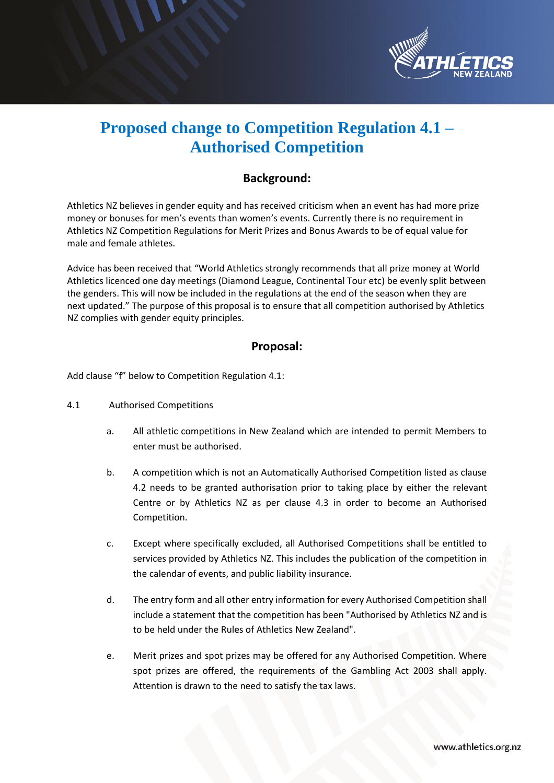

## **Proposed change to Competition Regulation 4.1 – Authorised Competition**

## **Background:**

Athletics NZ believes in gender equity and has received criticism when an event has had more prize money or bonuses for men's events than women's events. Currently there is no requirement in Athletics NZ Competition Regulations for Merit Prizes and Bonus Awards to be of equal value for male and female athletes.

Advice has been received that "World Athletics strongly recommends that all prize money at World Athletics licenced one day meetings (Diamond League, Continental Tour etc) be evenly split between the genders. This will now be included in the regulations at the end of the season when they are next updated." The purpose of this proposal is to ensure that all competition authorised by Athletics NZ complies with gender equity principles.

## **Proposal:**

Add clause "f" below to Competition Regulation 4.1:

- 4.1 Authorised Competitions
	- a. All athletic competitions in New Zealand which are intended to permit Members to enter must be authorised.
	- b. A competition which is not an Automatically Authorised Competition listed as clause 4.2 needs to be granted authorisation prior to taking place by either the relevant Centre or by Athletics NZ as per clause 4.3 in order to become an Authorised Competition.
	- c. Except where specifically excluded, all Authorised Competitions shall be entitled to services provided by Athletics NZ. This includes the publication of the competition in the calendar of events, and public liability insurance.
	- d. The entry form and all other entry information for every Authorised Competition shall include a statement that the competition has been "Authorised by Athletics NZ and is to be held under the Rules of Athletics New Zealand".
	- e. Merit prizes and spot prizes may be offered for any Authorised Competition. Where spot prizes are offered, the requirements of the Gambling Act 2003 shall apply. Attention is drawn to the need to satisfy the tax laws.